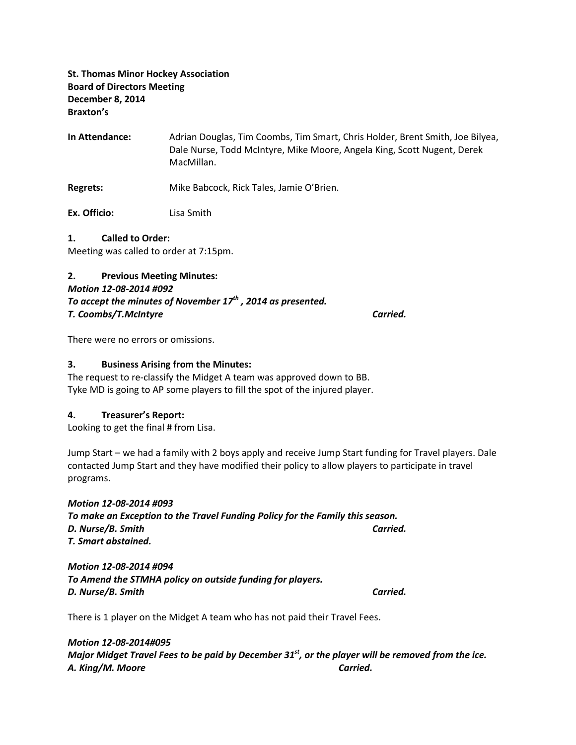St. Thomas Minor Hockey Association Board of Directors Meeting December 8, 2014 Braxton's

In Attendance: Adrian Douglas, Tim Coombs, Tim Smart, Chris Holder, Brent Smith, Joe Bilyea, Dale Nurse, Todd McIntyre, Mike Moore, Angela King, Scott Nugent, Derek MacMillan.

Regrets: Mike Babcock, Rick Tales, Jamie O'Brien.

Ex. Officio: Lisa Smith

#### 1. Called to Order:

Meeting was called to order at 7:15pm.

#### 2. Previous Meeting Minutes:

#### Motion 12-08-2014 #092

To accept the minutes of November  $17<sup>th</sup>$ , 2014 as presented. T. Coombs/T.McIntyre Carried.

There were no errors or omissions.

#### 3. Business Arising from the Minutes:

The request to re-classify the Midget A team was approved down to BB. Tyke MD is going to AP some players to fill the spot of the injured player.

#### 4. Treasurer's Report:

Looking to get the final # from Lisa.

Jump Start – we had a family with 2 boys apply and receive Jump Start funding for Travel players. Dale contacted Jump Start and they have modified their policy to allow players to participate in travel programs.

Motion 12-08-2014 #093 To make an Exception to the Travel Funding Policy for the Family this season. D. Nurse/B. Smith Carried. T. Smart abstained.

Motion 12-08-2014 #094 To Amend the STMHA policy on outside funding for players. D. Nurse/B. Smith Carried.

There is 1 player on the Midget A team who has not paid their Travel Fees.

Motion 12-08-2014#095 Major Midget Travel Fees to be paid by December  $31<sup>st</sup>$ , or the player will be removed from the ice. A. King/M. Moore Carried.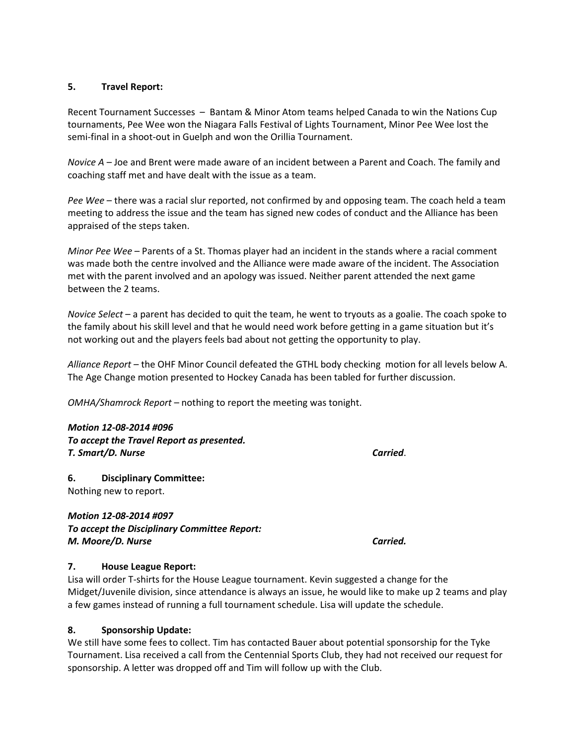### 5. Travel Report:

Recent Tournament Successes – Bantam & Minor Atom teams helped Canada to win the Nations Cup tournaments, Pee Wee won the Niagara Falls Festival of Lights Tournament, Minor Pee Wee lost the semi-final in a shoot-out in Guelph and won the Orillia Tournament.

Novice A – Joe and Brent were made aware of an incident between a Parent and Coach. The family and coaching staff met and have dealt with the issue as a team.

Pee Wee – there was a racial slur reported, not confirmed by and opposing team. The coach held a team meeting to address the issue and the team has signed new codes of conduct and the Alliance has been appraised of the steps taken.

Minor Pee Wee – Parents of a St. Thomas player had an incident in the stands where a racial comment was made both the centre involved and the Alliance were made aware of the incident. The Association met with the parent involved and an apology was issued. Neither parent attended the next game between the 2 teams.

Novice Select – a parent has decided to quit the team, he went to tryouts as a goalie. The coach spoke to the family about his skill level and that he would need work before getting in a game situation but it's not working out and the players feels bad about not getting the opportunity to play.

Alliance Report – the OHF Minor Council defeated the GTHL body checking motion for all levels below A. The Age Change motion presented to Hockey Canada has been tabled for further discussion.

OMHA/Shamrock Report – nothing to report the meeting was tonight.

## Motion 12-08-2014 #096

To accept the Travel Report as presented. T. Smart/D. Nurse Carried.

6. Disciplinary Committee: Nothing new to report.

## Motion 12-08-2014 #097 To accept the Disciplinary Committee Report: M. Moore/D. Nurse Carried.

### 7. House League Report:

Lisa will order T-shirts for the House League tournament. Kevin suggested a change for the Midget/Juvenile division, since attendance is always an issue, he would like to make up 2 teams and play a few games instead of running a full tournament schedule. Lisa will update the schedule.

### 8. Sponsorship Update:

We still have some fees to collect. Tim has contacted Bauer about potential sponsorship for the Tyke Tournament. Lisa received a call from the Centennial Sports Club, they had not received our request for sponsorship. A letter was dropped off and Tim will follow up with the Club.